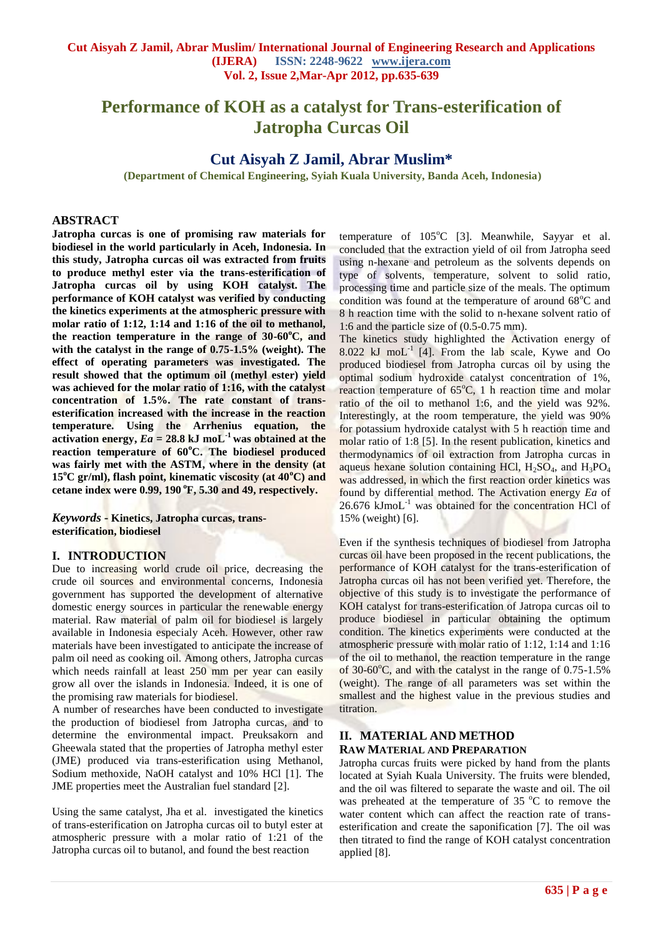# **Performance of KOH as a catalyst for Trans-esterification of Jatropha Curcas Oil**

# **Cut Aisyah Z Jamil, Abrar Muslim\***

**(Department of Chemical Engineering, Syiah Kuala University, Banda Aceh, Indonesia)**

#### **ABSTRACT**

**Jatropha curcas is one of promising raw materials for biodiesel in the world particularly in Aceh, Indonesia. In this study, Jatropha curcas oil was extracted from fruits to produce methyl ester via the trans-esterification of Jatropha curcas oil by using KOH catalyst. The performance of KOH catalyst was verified by conducting the kinetics experiments at the atmospheric pressure with molar ratio of 1:12, 1:14 and 1:16 of the oil to methanol, the reaction temperature in the range of 30-60 <sup>o</sup>C, and with the catalyst in the range of 0.75-1.5% (weight). The effect of operating parameters was investigated. The result showed that the optimum oil (methyl ester) yield was achieved for the molar ratio of 1:16, with the catalyst concentration of 1.5%. The rate constant of transesterification increased with the increase in the reaction temperature. Using the Arrhenius equation, the**  activation energy,  $Ea = 28.8$  kJ moL<sup>-1</sup> was obtained at the **reaction temperature of 60<sup>o</sup>C. The biodiesel produced was fairly met with the ASTM, where in the density (at 15<sup>o</sup>C gr/ml), flash point, kinematic viscosity (at 40<sup>o</sup>C) and cetane index were 0.99, 190 <sup>o</sup>F, 5.30 and 49, respectively.**

*Keywords* **- Kinetics, Jatropha curcas, transesterification, biodiesel**

# **I. INTRODUCTION**

Due to increasing world crude oil price, decreasing the crude oil sources and environmental concerns, Indonesia government has supported the development of alternative domestic energy sources in particular the renewable energy material. Raw material of palm oil for biodiesel is largely available in Indonesia especialy Aceh. However, other raw materials have been investigated to anticipate the increase of palm oil need as cooking oil. Among others, Jatropha curcas which needs rainfall at least 250 mm per year can easily grow all over the islands in Indonesia. Indeed, it is one of the promising raw materials for biodiesel.

A number of researches have been conducted to investigate the production of biodiesel from Jatropha curcas, and to determine the environmental impact. Preuksakorn and Gheewala stated that the properties of Jatropha methyl ester (JME) produced via trans-esterification using Methanol, Sodium methoxide, NaOH catalyst and 10% HCl [1]. The JME properties meet the Australian fuel standard [2].

Using the same catalyst, Jha et al. investigated the kinetics of trans-esterification on Jatropha curcas oil to butyl ester at atmospheric pressure with a molar ratio of 1:21 of the Jatropha curcas oil to butanol, and found the best reaction

temperature of  $105^{\circ}$ C [3]. Meanwhile, Sayyar et al. concluded that the extraction yield of oil from Jatropha seed using n-hexane and petroleum as the solvents depends on type of solvents, temperature, solvent to solid ratio, processing time and particle size of the meals. The optimum condition was found at the temperature of around  $68^{\circ}$ C and 8 h reaction time with the solid to n-hexane solvent ratio of 1:6 and the particle size of (0.5-0.75 mm).

The kinetics study highlighted the Activation energy of  $8.022$  kJ moL<sup>-1</sup> [4]. From the lab scale, Kywe and Oo produced biodiesel from Jatropha curcas oil by using the optimal sodium hydroxide catalyst concentration of 1%, reaction temperature of  $65^{\circ}$ C, 1 h reaction time and molar ratio of the oil to methanol 1:6, and the yield was 92%. Interestingly, at the room temperature, the yield was 90% for potassium hydroxide catalyst with 5 h reaction time and molar ratio of 1:8 [5]. In the resent publication, kinetics and thermodynamics of oil extraction from Jatropha curcas in aqueus hexane solution containing HCl,  $H_2SO_4$ , and  $H_3PO_4$ was addressed, in which the first reaction order kinetics was found by differential method. The Activation energy *Ea* of  $26.676$  kJmoL $^{-1}$  was obtained for the concentration HCl of 15% (weight) [6].

Even if the synthesis techniques of biodiesel from Jatropha curcas oil have been proposed in the recent publications, the performance of KOH catalyst for the trans-esterification of Jatropha curcas oil has not been verified yet. Therefore, the objective of this study is to investigate the performance of KOH catalyst for trans-esterification of Jatropa curcas oil to produce biodiesel in particular obtaining the optimum condition. The kinetics experiments were conducted at the atmospheric pressure with molar ratio of 1:12, 1:14 and 1:16 of the oil to methanol, the reaction temperature in the range of 30-60°C, and with the catalyst in the range of 0.75-1.5% (weight). The range of all parameters was set within the smallest and the highest value in the previous studies and titration.

## **II. MATERIAL AND METHOD RAW MATERIAL AND PREPARATION**

Jatropha curcas fruits were picked by hand from the plants located at Syiah Kuala University. The fruits were blended, and the oil was filtered to separate the waste and oil. The oil was preheated at the temperature of  $35\text{ °C}$  to remove the water content which can affect the reaction rate of transesterification and create the saponification [7]. The oil was then titrated to find the range of KOH catalyst concentration applied [8].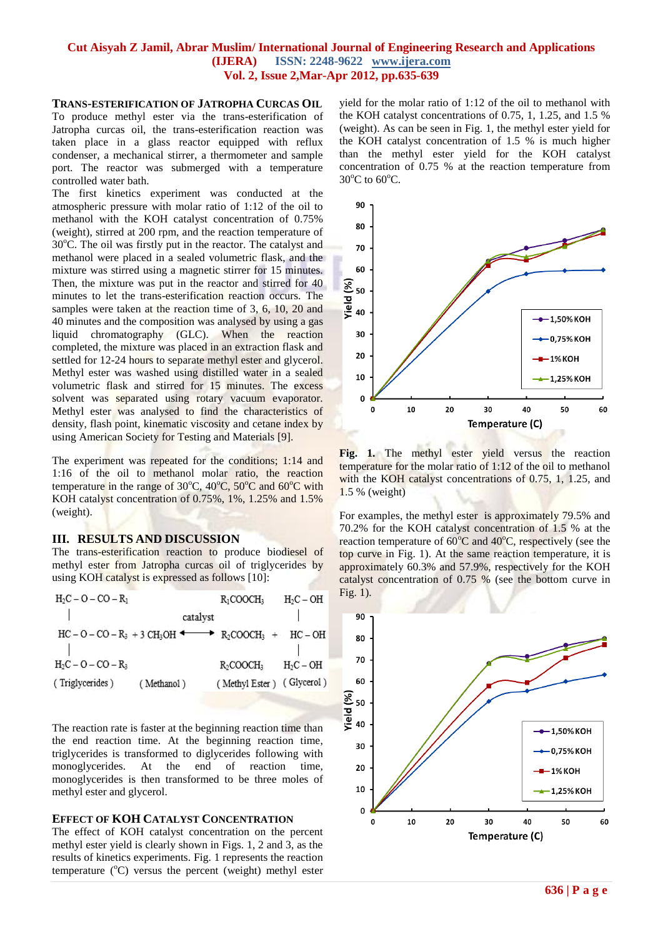#### **TRANS-ESTERIFICATION OF JATROPHA CURCAS OIL**

To produce methyl ester via the trans-esterification of Jatropha curcas oil, the trans-esterification reaction was taken place in a glass reactor equipped with reflux condenser, a mechanical stirrer, a thermometer and sample port. The reactor was submerged with a temperature controlled water bath.

The first kinetics experiment was conducted at the atmospheric pressure with molar ratio of 1:12 of the oil to methanol with the KOH catalyst concentration of 0.75% (weight), stirred at 200 rpm, and the reaction temperature of 30°C. The oil was firstly put in the reactor. The catalyst and methanol were placed in a sealed volumetric flask, and the mixture was stirred using a magnetic stirrer for 15 minutes. Then, the mixture was put in the reactor and stirred for 40 minutes to let the trans-esterification reaction occurs. The samples were taken at the reaction time of 3, 6, 10, 20 and 40 minutes and the composition was analysed by using a gas liquid chromatography (GLC). When the reaction completed, the mixture was placed in an extraction flask and settled for 12-24 hours to separate methyl ester and glycerol. Methyl ester was washed using distilled water in a sealed volumetric flask and stirred for 15 minutes. The excess solvent was separated using rotary vacuum evaporator. Methyl ester was analysed to find the characteristics of density, flash point, kinematic viscosity and cetane index by using American Society for Testing and Materials [9].

The experiment was repeated for the conditions; 1:14 and 1:16 of the oil to methanol molar ratio, the reaction temperature in the range of  $30^{\circ}$ C,  $40^{\circ}$ C,  $50^{\circ}$ C and  $60^{\circ}$ C with KOH catalyst concentration of 0.75%, 1%, 1.25% and 1.5% (weight).

#### **III. RESULTS AND DISCUSSION**

The trans-esterification reaction to produce biodiesel of methyl ester from Jatropha curcas oil of triglycerides by using KOH catalyst is expressed as follows [10]:

| $H_2C - O - CO - R_1$ |                                                           | $R_1$ COOCH <sub>3</sub>  | $H_2C-OH$   |
|-----------------------|-----------------------------------------------------------|---------------------------|-------------|
|                       | catalyst                                                  |                           |             |
|                       | $HC - O - CO - R_3 + 3 CH_3OH$ + $R_2COOCH_3$ + $HC - OH$ |                           |             |
| $H_2C - O - CO - R_3$ |                                                           | $R_2$ COOCH <sub>3</sub>  | $H_2C - OH$ |
| (Triglycerides)       | (Methanol)                                                | (Methyl Ester) (Glycerol) |             |
|                       |                                                           |                           |             |

The reaction rate is faster at the beginning reaction time than the end reaction time. At the beginning reaction time, triglycerides is transformed to diglycerides following with monoglycerides. At the end of reaction time, monoglycerides is then transformed to be three moles of methyl ester and glycerol.

#### **EFFECT OF KOH CATALYST CONCENTRATION**

The effect of KOH catalyst concentration on the percent methyl ester yield is clearly shown in Figs. 1, 2 and 3, as the results of kinetics experiments. Fig. 1 represents the reaction temperature  $({}^{\circ}C)$  versus the percent (weight) methyl ester

yield for the molar ratio of 1:12 of the oil to methanol with the KOH catalyst concentrations of 0.75, 1, 1.25, and 1.5 % (weight). As can be seen in Fig. 1, the methyl ester yield for the KOH catalyst concentration of 1.5 % is much higher than the methyl ester yield for the KOH catalyst concentration of 0.75 % at the reaction temperature from  $30^{\circ}$ C to  $60^{\circ}$ C.



**Fig. 1.** The methyl ester yield versus the reaction temperature for the molar ratio of 1:12 of the oil to methanol with the KOH catalyst concentrations of 0.75, 1, 1.25, and 1.5 % (weight)

For examples, the methyl ester is approximately 79.5% and 70.2% for the KOH catalyst concentration of 1.5 % at the reaction temperature of  $60^{\circ}$ C and  $40^{\circ}$ C, respectively (see the top curve in Fig. 1). At the same reaction temperature, it is approximately 60.3% and 57.9%, respectively for the KOH catalyst concentration of 0.75 % (see the bottom curve in Fig. 1).

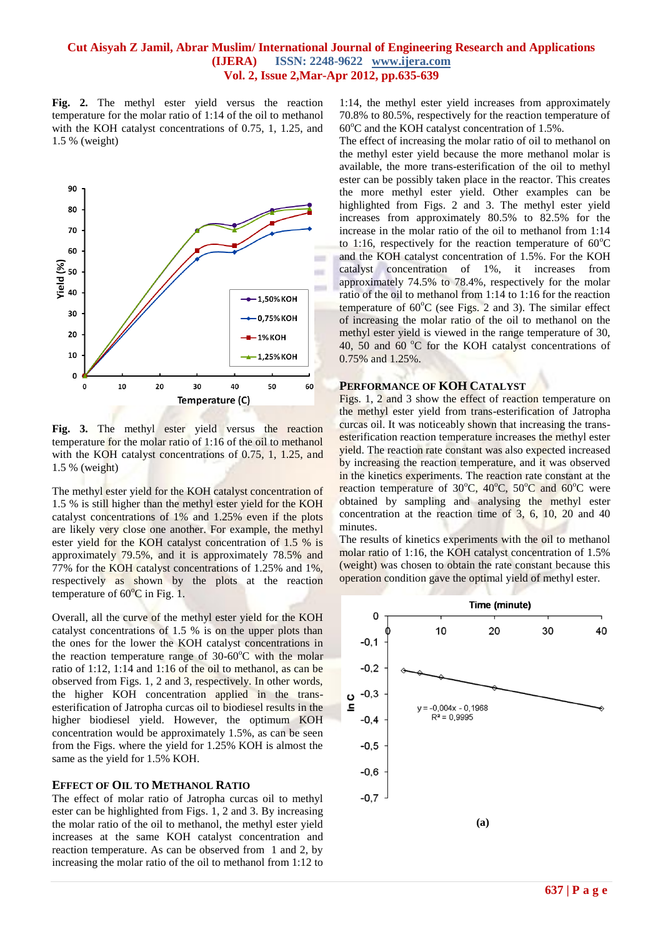**Fig. 2.** The methyl ester yield versus the reaction temperature for the molar ratio of 1:14 of the oil to methanol with the KOH catalyst concentrations of 0.75, 1, 1.25, and 1.5 % (weight)



**Fig. 3.** The methyl ester yield versus the reaction temperature for the molar ratio of 1:16 of the oil to methanol with the KOH catalyst concentrations of 0.75, 1, 1.25, and 1.5 % (weight)

The methyl ester yield for the KOH catalyst concentration of 1.5 % is still higher than the methyl ester yield for the KOH catalyst concentrations of 1% and 1.25% even if the plots are likely very close one another. For example, the methyl ester yield for the KOH catalyst concentration of 1.5 % is approximately 79.5%, and it is approximately 78.5% and 77% for the KOH catalyst concentrations of 1.25% and 1%, respectively as shown by the plots at the reaction temperature of  $60^{\circ}$ C in Fig. 1.

Overall, all the curve of the methyl ester yield for the KOH catalyst concentrations of 1.5 % is on the upper plots than the ones for the lower the KOH catalyst concentrations in the reaction temperature range of  $30{\text -}60^{\circ}$ C with the molar ratio of 1:12, 1:14 and 1:16 of the oil to methanol, as can be observed from Figs. 1, 2 and 3, respectively. In other words, the higher KOH concentration applied in the transesterification of Jatropha curcas oil to biodiesel results in the higher biodiesel yield. However, the optimum KOH concentration would be approximately 1.5%, as can be seen from the Figs. where the yield for 1.25% KOH is almost the same as the yield for 1.5% KOH.

#### **EFFECT OF OIL TO METHANOL RATIO**

The effect of molar ratio of Jatropha curcas oil to methyl ester can be highlighted from Figs. 1, 2 and 3. By increasing the molar ratio of the oil to methanol, the methyl ester yield increases at the same KOH catalyst concentration and reaction temperature. As can be observed from 1 and 2, by increasing the molar ratio of the oil to methanol from 1:12 to

1:14, the methyl ester yield increases from approximately 70.8% to 80.5%, respectively for the reaction temperature of  $60^{\circ}$ C and the KOH catalyst concentration of 1.5%.

The effect of increasing the molar ratio of oil to methanol on the methyl ester yield because the more methanol molar is available, the more trans-esterification of the oil to methyl ester can be possibly taken place in the reactor. This creates the more methyl ester yield. Other examples can be highlighted from Figs. 2 and 3. The methyl ester yield increases from approximately 80.5% to 82.5% for the increase in the molar ratio of the oil to methanol from 1:14 to 1:16, respectively for the reaction temperature of  $60^{\circ}$ C and the KOH catalyst concentration of 1.5%. For the KOH catalyst concentration of 1%, it increases from approximately 74.5% to 78.4%, respectively for the molar ratio of the oil to methanol from 1:14 to 1:16 for the reaction temperature of  $60^{\circ}$ C (see Figs. 2 and 3). The similar effect of increasing the molar ratio of the oil to methanol on the methyl ester yield is viewed in the range temperature of 30, 40, 50 and 60  $^{\circ}$ C for the KOH catalyst concentrations of 0.75% and 1.25%.

# **PERFORMANCE OF KOH CATALYST**

Figs. 1, 2 and 3 show the effect of reaction temperature on the methyl ester yield from trans-esterification of Jatropha curcas oil. It was noticeably shown that increasing the transesterification reaction temperature increases the methyl ester yield. The reaction rate constant was also expected increased by increasing the reaction temperature, and it was observed in the kinetics experiments. The reaction rate constant at the reaction temperature of  $30^{\circ}$ C,  $40^{\circ}$ C,  $50^{\circ}$ C and  $60^{\circ}$ C were obtained by sampling and analysing the methyl ester concentration at the reaction time of 3, 6, 10, 20 and 40 minutes.

The results of kinetics experiments with the oil to methanol molar ratio of 1:16, the KOH catalyst concentration of 1.5% (weight) was chosen to obtain the rate constant because this operation condition gave the optimal yield of methyl ester.

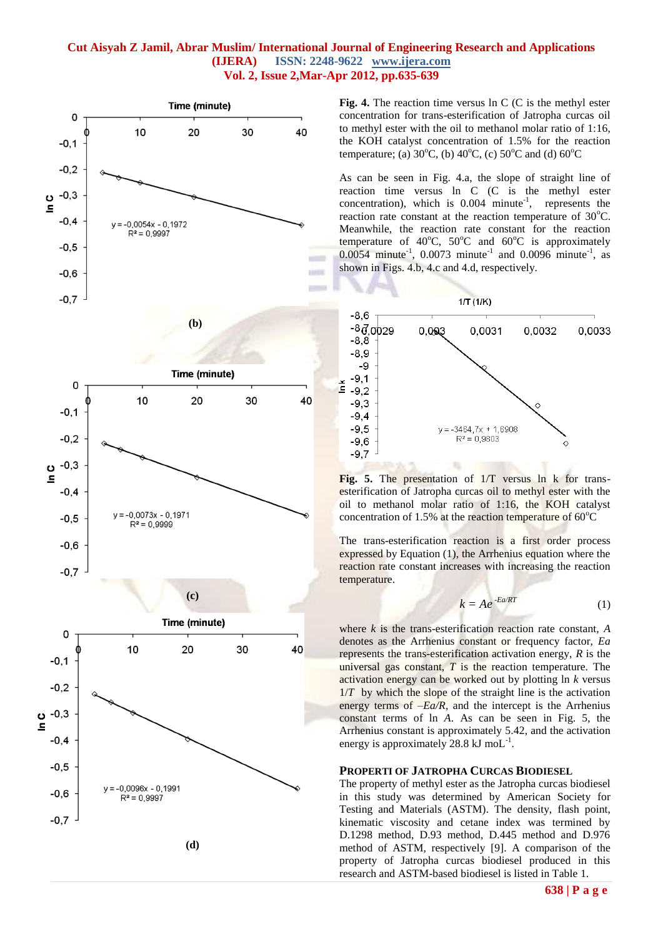

**Fig. 4.** The reaction time versus ln C (C is the methyl ester concentration for trans-esterification of Jatropha curcas oil to methyl ester with the oil to methanol molar ratio of 1:16, the KOH catalyst concentration of 1.5% for the reaction temperature; (a)  $30^{\circ}$ C, (b)  $40^{\circ}$ C, (c)  $50^{\circ}$ C and (d)  $60^{\circ}$ C

As can be seen in Fig. 4.a, the slope of straight line of reaction time versus ln C (C is the methyl ester concentration), which is  $0.004$  minute<sup>-1</sup>, represents the reaction rate constant at the reaction temperature of  $30^{\circ}$ C. Meanwhile, the reaction rate constant for the reaction temperature of  $40^{\circ}$ C,  $50^{\circ}$ C and  $60^{\circ}$ C is approximately 0.0054 minute<sup>-1</sup>, 0.0073 minute<sup>-1</sup> and 0.0096 minute<sup>-1</sup>, as shown in Figs. 4.b, 4.c and 4.d, respectively.



**Fig. 5.** The presentation of 1/T versus ln k for transesterification of Jatropha curcas oil to methyl ester with the oil to methanol molar ratio of 1:16, the KOH catalyst concentration of 1.5% at the reaction temperature of  $60^{\circ}$ C

The trans-esterification reaction is a first order process expressed by Equation (1), the Arrhenius equation where the reaction rate constant increases with increasing the reaction temperature.

$$
k = Ae^{-Ea/RT}
$$
 (1)

where *k* is the trans-esterification reaction rate constant, *A* denotes as the Arrhenius constant or frequency factor, *Ea* represents the trans-esterification activation energy, *R* is the universal gas constant, *T* is the reaction temperature. The activation energy can be worked out by plotting ln *k* versus 1/*T* by which the slope of the straight line is the activation energy terms of  $-Ea/R$ , and the intercept is the Arrhenius constant terms of ln *A*. As can be seen in Fig. 5, the Arrhenius constant is approximately 5.42, and the activation energy is approximately 28.8 kJ mo $L^{-1}$ .

#### **PROPERTI OF JATROPHA CURCAS BIODIESEL**

The property of methyl ester as the Jatropha curcas biodiesel in this study was determined by American Society for Testing and Materials (ASTM). The density, flash point, kinematic viscosity and cetane index was termined by D.1298 method, D.93 method, D.445 method and D.976 method of ASTM, respectively [9]. A comparison of the property of Jatropha curcas biodiesel produced in this research and ASTM-based biodiesel is listed in Table 1.